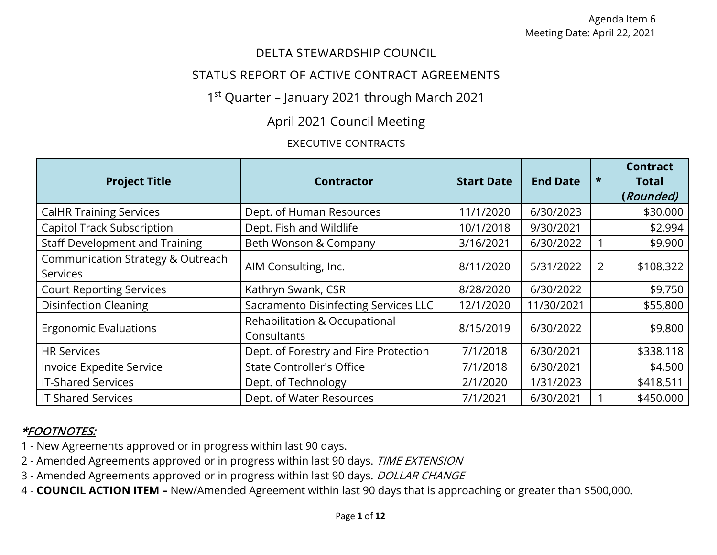#### DELTA STEWARDSHIP COUNCIL

#### STATUS REPORT OF ACTIVE CONTRACT AGREEMENTS

# 1<sup>st</sup> Quarter - January 2021 through March 2021

# April 2021 Council Meeting

#### EXECUTIVE CONTRACTS

| <b>Project Title</b>                                 | <b>Contractor</b>                            | <b>Start Date</b> | <b>End Date</b> | $\star$        | <b>Contract</b><br><b>Total</b><br>(Rounded) |
|------------------------------------------------------|----------------------------------------------|-------------------|-----------------|----------------|----------------------------------------------|
| <b>CalHR Training Services</b>                       | Dept. of Human Resources                     | 11/1/2020         | 6/30/2023       |                | \$30,000                                     |
| <b>Capitol Track Subscription</b>                    | Dept. Fish and Wildlife                      | 10/1/2018         | 9/30/2021       |                | \$2,994                                      |
| <b>Staff Development and Training</b>                | Beth Wonson & Company                        | 3/16/2021         | 6/30/2022       |                | \$9,900                                      |
| Communication Strategy & Outreach<br><b>Services</b> | AIM Consulting, Inc.                         | 8/11/2020         | 5/31/2022       | $\overline{2}$ | \$108,322                                    |
| <b>Court Reporting Services</b>                      | Kathryn Swank, CSR                           | 8/28/2020         | 6/30/2022       |                | \$9,750                                      |
| <b>Disinfection Cleaning</b>                         | Sacramento Disinfecting Services LLC         | 12/1/2020         | 11/30/2021      |                | \$55,800                                     |
| <b>Ergonomic Evaluations</b>                         | Rehabilitation & Occupational<br>Consultants | 8/15/2019         | 6/30/2022       |                | \$9,800                                      |
| <b>HR Services</b>                                   | Dept. of Forestry and Fire Protection        | 7/1/2018          | 6/30/2021       |                | \$338,118                                    |
| <b>Invoice Expedite Service</b>                      | <b>State Controller's Office</b>             | 7/1/2018          | 6/30/2021       |                | \$4,500                                      |
| <b>IT-Shared Services</b>                            | Dept. of Technology                          | 2/1/2020          | 1/31/2023       |                | \$418,511                                    |
| <b>IT Shared Services</b>                            | Dept. of Water Resources                     | 7/1/2021          | 6/30/2021       |                | \$450,000                                    |

- 1 New Agreements approved or in progress within last 90 days.
- 2 Amended Agreements approved or in progress within last 90 days. TIME EXTENSION
- 3 Amended Agreements approved or in progress within last 90 days. DOLLAR CHANGE
- 4 **COUNCIL ACTION ITEM –** New/Amended Agreement within last 90 days that is approaching or greater than \$500,000.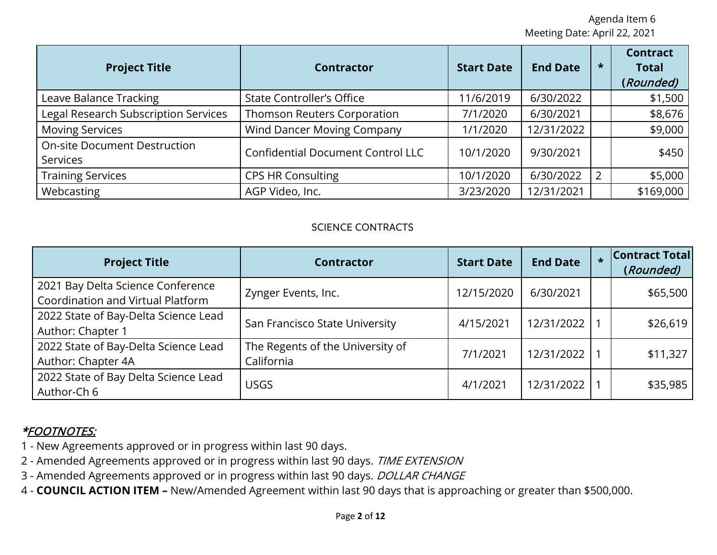| <b>Project Title</b>                                   | <b>Contractor</b>                        | <b>Start Date</b> | <b>End Date</b> | $\star$        | <b>Contract</b><br><b>Total</b><br>(Rounded) |
|--------------------------------------------------------|------------------------------------------|-------------------|-----------------|----------------|----------------------------------------------|
| Leave Balance Tracking                                 | <b>State Controller's Office</b>         | 11/6/2019         | 6/30/2022       |                | \$1,500                                      |
| <b>Legal Research Subscription Services</b>            | <b>Thomson Reuters Corporation</b>       | 7/1/2020          | 6/30/2021       |                | \$8,676                                      |
| <b>Moving Services</b>                                 | <b>Wind Dancer Moving Company</b>        | 1/1/2020          | 12/31/2022      |                | \$9,000                                      |
| <b>On-site Document Destruction</b><br><b>Services</b> | <b>Confidential Document Control LLC</b> | 10/1/2020         | 9/30/2021       |                | \$450                                        |
| <b>Training Services</b>                               | <b>CPS HR Consulting</b>                 | 10/1/2020         | 6/30/2022       | $\overline{2}$ | \$5,000                                      |
| Webcasting                                             | AGP Video, Inc.                          | 3/23/2020         | 12/31/2021      |                | \$169,000                                    |

#### SCIENCE CONTRACTS

| <b>Project Title</b>                                                   | <b>Contractor</b>                              | <b>Start Date</b> | <b>End Date</b> | $\star$ | <b>Contract Total</b><br>(Rounded) |
|------------------------------------------------------------------------|------------------------------------------------|-------------------|-----------------|---------|------------------------------------|
| 2021 Bay Delta Science Conference<br>Coordination and Virtual Platform | Zynger Events, Inc.                            | 12/15/2020        | 6/30/2021       |         | \$65,500                           |
| 2022 State of Bay-Delta Science Lead<br>Author: Chapter 1              | San Francisco State University                 | 4/15/2021         | 12/31/2022      |         | \$26,619                           |
| 2022 State of Bay-Delta Science Lead<br>Author: Chapter 4A             | The Regents of the University of<br>California | 7/1/2021          | 12/31/2022      |         | \$11,327                           |
| 2022 State of Bay Delta Science Lead<br>Author-Ch 6                    | USGS                                           | 4/1/2021          | 12/31/2022      |         | \$35,985                           |

- 1 New Agreements approved or in progress within last 90 days.
- 2 Amended Agreements approved or in progress within last 90 days. TIME EXTENSION
- 3 Amended Agreements approved or in progress within last 90 days. DOLLAR CHANGE
- 4 **COUNCIL ACTION ITEM –** New/Amended Agreement within last 90 days that is approaching or greater than \$500,000.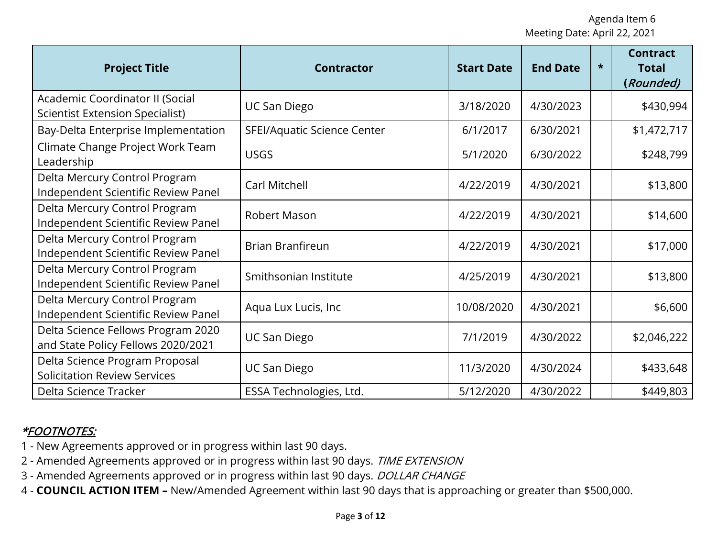| <b>Project Title</b>                                                      | <b>Contractor</b>           | <b>Start Date</b> | <b>End Date</b> | $\star$ | <b>Contract</b><br><b>Total</b><br>(Rounded) |
|---------------------------------------------------------------------------|-----------------------------|-------------------|-----------------|---------|----------------------------------------------|
| Academic Coordinator II (Social<br><b>Scientist Extension Specialist)</b> | <b>UC San Diego</b>         | 3/18/2020         | 4/30/2023       |         | \$430,994                                    |
| Bay-Delta Enterprise Implementation                                       | SFEI/Aquatic Science Center | 6/1/2017          | 6/30/2021       |         | \$1,472,717                                  |
| Climate Change Project Work Team<br>Leadership                            | <b>USGS</b>                 | 5/1/2020          | 6/30/2022       |         | \$248,799                                    |
| Delta Mercury Control Program<br>Independent Scientific Review Panel      | Carl Mitchell               | 4/22/2019         | 4/30/2021       |         | \$13,800                                     |
| Delta Mercury Control Program<br>Independent Scientific Review Panel      | <b>Robert Mason</b>         | 4/22/2019         | 4/30/2021       |         | \$14,600                                     |
| Delta Mercury Control Program<br>Independent Scientific Review Panel      | <b>Brian Branfireun</b>     | 4/22/2019         | 4/30/2021       |         | \$17,000                                     |
| Delta Mercury Control Program<br>Independent Scientific Review Panel      | Smithsonian Institute       | 4/25/2019         | 4/30/2021       |         | \$13,800                                     |
| Delta Mercury Control Program<br>Independent Scientific Review Panel      | Aqua Lux Lucis, Inc         | 10/08/2020        | 4/30/2021       |         | \$6,600                                      |
| Delta Science Fellows Program 2020<br>and State Policy Fellows 2020/2021  | <b>UC San Diego</b>         | 7/1/2019          | 4/30/2022       |         | \$2,046,222                                  |
| Delta Science Program Proposal<br><b>Solicitation Review Services</b>     | <b>UC San Diego</b>         | 11/3/2020         | 4/30/2024       |         | \$433,648                                    |
| Delta Science Tracker                                                     | ESSA Technologies, Ltd.     | 5/12/2020         | 4/30/2022       |         | \$449,803                                    |

- 1 New Agreements approved or in progress within last 90 days.
- 2 Amended Agreements approved or in progress within last 90 days. TIME EXTENSION
- 3 Amended Agreements approved or in progress within last 90 days. DOLLAR CHANGE
- 4 **COUNCIL ACTION ITEM –** New/Amended Agreement within last 90 days that is approaching or greater than \$500,000.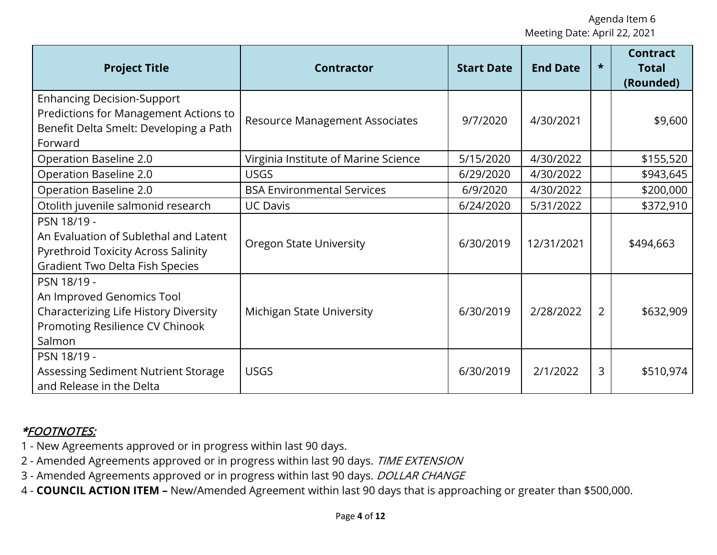| <b>Project Title</b>                                                                                                                  | <b>Contractor</b>                     | <b>Start Date</b> | <b>End Date</b> | $\star$        | <b>Contract</b><br><b>Total</b><br>(Rounded) |
|---------------------------------------------------------------------------------------------------------------------------------------|---------------------------------------|-------------------|-----------------|----------------|----------------------------------------------|
| <b>Enhancing Decision-Support</b><br>Predictions for Management Actions to<br>Benefit Delta Smelt: Developing a Path<br>Forward       | <b>Resource Management Associates</b> | 9/7/2020          | 4/30/2021       |                | \$9,600                                      |
| Operation Baseline 2.0                                                                                                                | Virginia Institute of Marine Science  | 5/15/2020         | 4/30/2022       |                | \$155,520                                    |
| Operation Baseline 2.0                                                                                                                | <b>USGS</b>                           | 6/29/2020         | 4/30/2022       |                | \$943,645                                    |
| Operation Baseline 2.0                                                                                                                | <b>BSA Environmental Services</b>     | 6/9/2020          | 4/30/2022       |                | \$200,000                                    |
| Otolith juvenile salmonid research                                                                                                    | <b>UC Davis</b>                       | 6/24/2020         | 5/31/2022       |                | \$372,910                                    |
| PSN 18/19 -<br>An Evaluation of Sublethal and Latent<br>Pyrethroid Toxicity Across Salinity<br><b>Gradient Two Delta Fish Species</b> | <b>Oregon State University</b>        | 6/30/2019         | 12/31/2021      |                | \$494,663                                    |
| PSN 18/19 -<br>An Improved Genomics Tool<br>Characterizing Life History Diversity<br>Promoting Resilience CV Chinook<br>Salmon        | Michigan State University             | 6/30/2019         | 2/28/2022       | $\overline{2}$ | \$632,909                                    |
| PSN 18/19 -<br>Assessing Sediment Nutrient Storage<br>and Release in the Delta                                                        | <b>USGS</b>                           | 6/30/2019         | 2/1/2022        | 3              | \$510,974                                    |

- 1 New Agreements approved or in progress within last 90 days.
- 2 Amended Agreements approved or in progress within last 90 days. TIME EXTENSION
- 3 Amended Agreements approved or in progress within last 90 days. DOLLAR CHANGE
- 4 **COUNCIL ACTION ITEM –** New/Amended Agreement within last 90 days that is approaching or greater than \$500,000.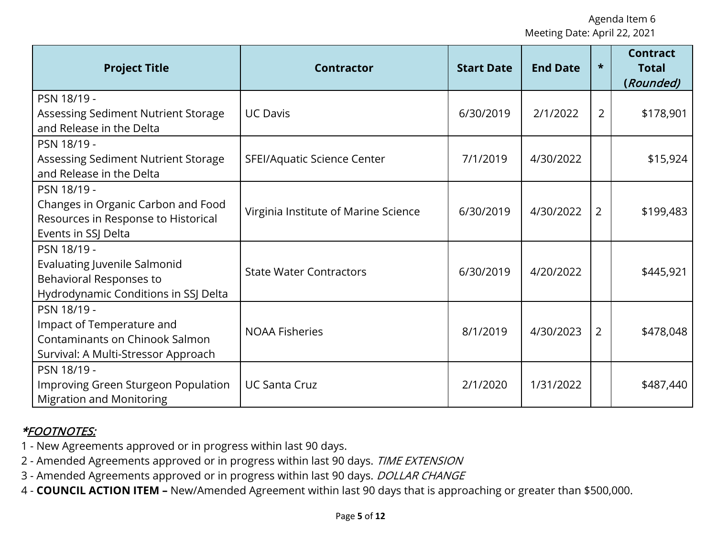| <b>Project Title</b>                                                                                                     | <b>Contractor</b>                    | <b>Start Date</b> | <b>End Date</b> | $\star$        | <b>Contract</b><br><b>Total</b><br>(Rounded) |
|--------------------------------------------------------------------------------------------------------------------------|--------------------------------------|-------------------|-----------------|----------------|----------------------------------------------|
| PSN 18/19 -<br>Assessing Sediment Nutrient Storage<br>and Release in the Delta                                           | <b>UC Davis</b>                      | 6/30/2019         | 2/1/2022        | $\overline{2}$ | \$178,901                                    |
| PSN 18/19 -<br>Assessing Sediment Nutrient Storage<br>and Release in the Delta                                           | SFEI/Aquatic Science Center          | 7/1/2019          | 4/30/2022       |                | \$15,924                                     |
| PSN 18/19 -<br>Changes in Organic Carbon and Food<br>Resources in Response to Historical<br>Events in SSJ Delta          | Virginia Institute of Marine Science | 6/30/2019         | 4/30/2022       | $\overline{2}$ | \$199,483                                    |
| PSN 18/19 -<br><b>Evaluating Juvenile Salmonid</b><br>Behavioral Responses to<br>Hydrodynamic Conditions in SSJ Delta    | <b>State Water Contractors</b>       | 6/30/2019         | 4/20/2022       |                | \$445,921                                    |
| PSN 18/19 -<br>Impact of Temperature and<br><b>Contaminants on Chinook Salmon</b><br>Survival: A Multi-Stressor Approach | <b>NOAA Fisheries</b>                | 8/1/2019          | 4/30/2023       | $\overline{2}$ | \$478,048                                    |
| PSN 18/19 -<br>Improving Green Sturgeon Population<br><b>Migration and Monitoring</b>                                    | <b>UC Santa Cruz</b>                 | 2/1/2020          | 1/31/2022       |                | \$487,440                                    |

- 1 New Agreements approved or in progress within last 90 days.
- 2 Amended Agreements approved or in progress within last 90 days. TIME EXTENSION
- 3 Amended Agreements approved or in progress within last 90 days. DOLLAR CHANGE
- 4 **COUNCIL ACTION ITEM –** New/Amended Agreement within last 90 days that is approaching or greater than \$500,000.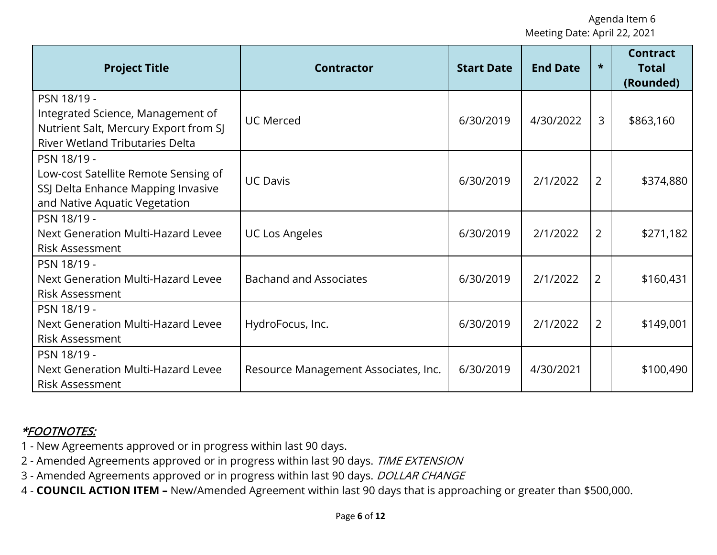| <b>Project Title</b>                                                                                                                | <b>Contractor</b>                    | <b>Start Date</b> | <b>End Date</b> | $\star$        | <b>Contract</b><br><b>Total</b><br>(Rounded) |
|-------------------------------------------------------------------------------------------------------------------------------------|--------------------------------------|-------------------|-----------------|----------------|----------------------------------------------|
| PSN 18/19 -<br>Integrated Science, Management of<br>Nutrient Salt, Mercury Export from SJ<br><b>River Wetland Tributaries Delta</b> | <b>UC Merced</b>                     | 6/30/2019         | 4/30/2022       | $\overline{3}$ | \$863,160                                    |
| PSN 18/19 -<br>Low-cost Satellite Remote Sensing of<br>SSJ Delta Enhance Mapping Invasive<br>and Native Aquatic Vegetation          | <b>UC Davis</b>                      | 6/30/2019         | 2/1/2022        | $\overline{2}$ | \$374,880                                    |
| PSN 18/19 -<br>Next Generation Multi-Hazard Levee<br><b>Risk Assessment</b>                                                         | <b>UC Los Angeles</b>                | 6/30/2019         | 2/1/2022        | $\overline{2}$ | \$271,182                                    |
| PSN 18/19 -<br>Next Generation Multi-Hazard Levee<br><b>Risk Assessment</b>                                                         | <b>Bachand and Associates</b>        | 6/30/2019         | 2/1/2022        | $\overline{2}$ | \$160,431                                    |
| PSN 18/19 -<br>Next Generation Multi-Hazard Levee<br><b>Risk Assessment</b>                                                         | HydroFocus, Inc.                     | 6/30/2019         | 2/1/2022        | $\overline{2}$ | \$149,001                                    |
| PSN 18/19 -<br>Next Generation Multi-Hazard Levee<br><b>Risk Assessment</b>                                                         | Resource Management Associates, Inc. | 6/30/2019         | 4/30/2021       |                | \$100,490                                    |

- 1 New Agreements approved or in progress within last 90 days.
- 2 Amended Agreements approved or in progress within last 90 days. TIME EXTENSION
- 3 Amended Agreements approved or in progress within last 90 days. DOLLAR CHANGE
- 4 **COUNCIL ACTION ITEM –** New/Amended Agreement within last 90 days that is approaching or greater than \$500,000.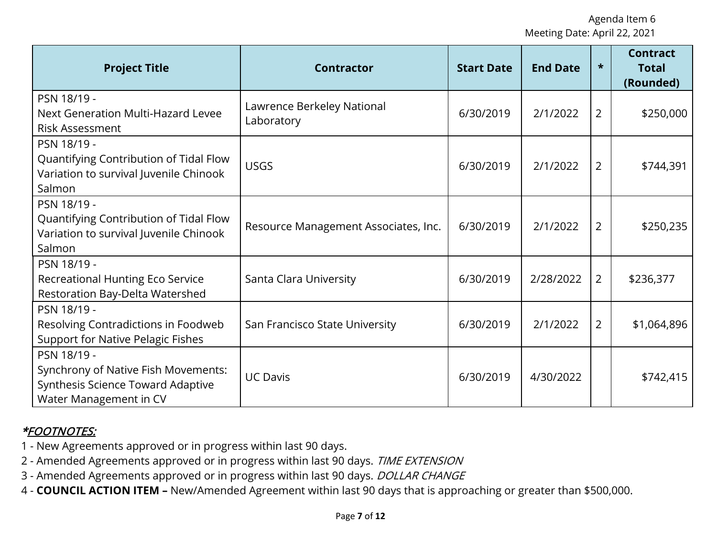| <b>Project Title</b>                                                                                              | <b>Contractor</b>                        | <b>Start Date</b> | <b>End Date</b> | $\star$        | <b>Contract</b><br><b>Total</b><br>(Rounded) |
|-------------------------------------------------------------------------------------------------------------------|------------------------------------------|-------------------|-----------------|----------------|----------------------------------------------|
| PSN 18/19 -<br>Next Generation Multi-Hazard Levee<br><b>Risk Assessment</b>                                       | Lawrence Berkeley National<br>Laboratory | 6/30/2019         | 2/1/2022        | $\overline{2}$ | \$250,000                                    |
| PSN 18/19 -<br>Quantifying Contribution of Tidal Flow<br>Variation to survival Juvenile Chinook<br>Salmon         | <b>USGS</b>                              | 6/30/2019         | 2/1/2022        | $\overline{2}$ | \$744,391                                    |
| PSN 18/19 -<br>Quantifying Contribution of Tidal Flow<br>Variation to survival Juvenile Chinook<br>Salmon         | Resource Management Associates, Inc.     | 6/30/2019         | 2/1/2022        | $\overline{2}$ | \$250,235                                    |
| PSN 18/19 -<br>Recreational Hunting Eco Service<br>Restoration Bay-Delta Watershed                                | Santa Clara University                   | 6/30/2019         | 2/28/2022       | $\overline{2}$ | \$236,377                                    |
| PSN 18/19 -<br>Resolving Contradictions in Foodweb<br><b>Support for Native Pelagic Fishes</b>                    | San Francisco State University           | 6/30/2019         | 2/1/2022        | $\overline{2}$ | \$1,064,896                                  |
| PSN 18/19 -<br>Synchrony of Native Fish Movements:<br>Synthesis Science Toward Adaptive<br>Water Management in CV | <b>UC Davis</b>                          | 6/30/2019         | 4/30/2022       |                | \$742,415                                    |

- 1 New Agreements approved or in progress within last 90 days.
- 2 Amended Agreements approved or in progress within last 90 days. TIME EXTENSION
- 3 Amended Agreements approved or in progress within last 90 days. DOLLAR CHANGE
- 4 **COUNCIL ACTION ITEM –** New/Amended Agreement within last 90 days that is approaching or greater than \$500,000.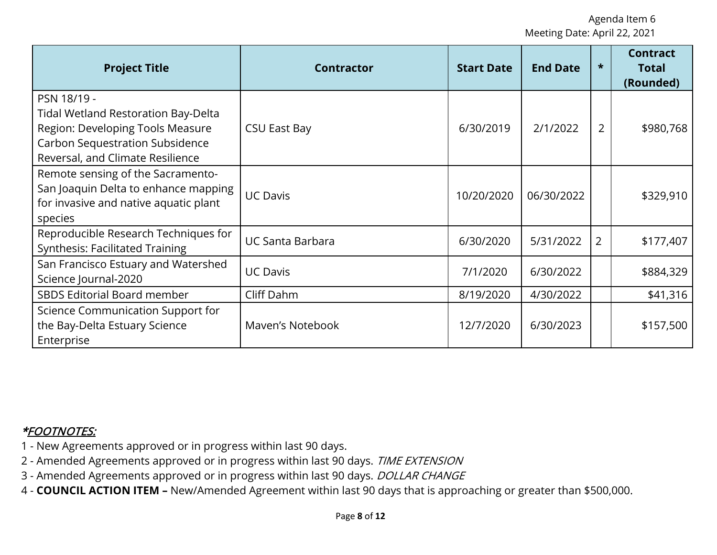| <b>Project Title</b>                                                                                                                                                 | <b>Contractor</b>       | <b>Start Date</b> | <b>End Date</b> | $\star$        | <b>Contract</b><br><b>Total</b><br>(Rounded) |
|----------------------------------------------------------------------------------------------------------------------------------------------------------------------|-------------------------|-------------------|-----------------|----------------|----------------------------------------------|
| PSN 18/19 -<br>Tidal Wetland Restoration Bay-Delta<br>Region: Developing Tools Measure<br><b>Carbon Sequestration Subsidence</b><br>Reversal, and Climate Resilience | <b>CSU East Bay</b>     | 6/30/2019         | 2/1/2022        | $\overline{2}$ | \$980,768                                    |
| Remote sensing of the Sacramento-<br>San Joaquin Delta to enhance mapping<br>for invasive and native aquatic plant<br>species                                        | <b>UC Davis</b>         | 10/20/2020        | 06/30/2022      |                | \$329,910                                    |
| Reproducible Research Techniques for<br><b>Synthesis: Facilitated Training</b>                                                                                       | <b>UC Santa Barbara</b> | 6/30/2020         | 5/31/2022       | $\overline{2}$ | \$177,407                                    |
| San Francisco Estuary and Watershed<br>Science Journal-2020                                                                                                          | <b>UC Davis</b>         | 7/1/2020          | 6/30/2022       |                | \$884,329                                    |
| SBDS Editorial Board member                                                                                                                                          | Cliff Dahm              | 8/19/2020         | 4/30/2022       |                | \$41,316                                     |
| Science Communication Support for<br>the Bay-Delta Estuary Science<br>Enterprise                                                                                     | Maven's Notebook        | 12/7/2020         | 6/30/2023       |                | \$157,500                                    |

- 1 New Agreements approved or in progress within last 90 days.
- 2 Amended Agreements approved or in progress within last 90 days. TIME EXTENSION
- 3 Amended Agreements approved or in progress within last 90 days. DOLLAR CHANGE
- 4 **COUNCIL ACTION ITEM –** New/Amended Agreement within last 90 days that is approaching or greater than \$500,000.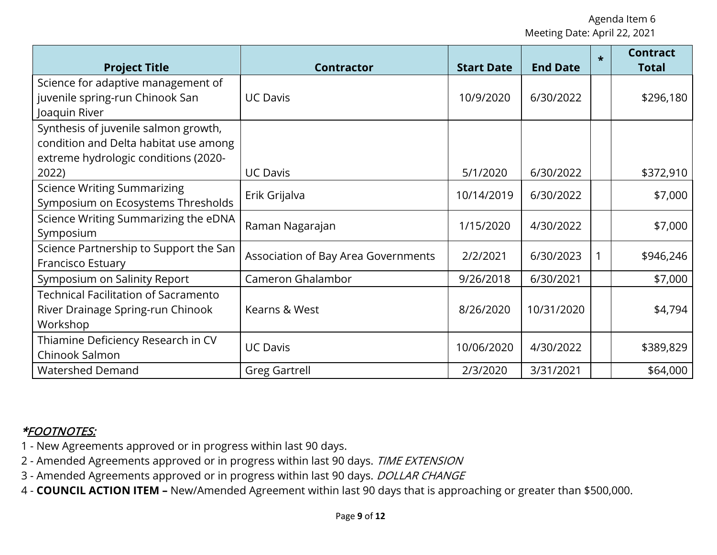| <b>Project Title</b>                                                                                                  | <b>Contractor</b>                   | <b>Start Date</b> | <b>End Date</b> | $\star$ | <b>Contract</b><br><b>Total</b> |
|-----------------------------------------------------------------------------------------------------------------------|-------------------------------------|-------------------|-----------------|---------|---------------------------------|
| Science for adaptive management of<br>juvenile spring-run Chinook San<br>Joaquin River                                | <b>UC Davis</b>                     | 10/9/2020         | 6/30/2022       |         | \$296,180                       |
| Synthesis of juvenile salmon growth,<br>condition and Delta habitat use among<br>extreme hydrologic conditions (2020- |                                     |                   |                 |         |                                 |
| 2022)                                                                                                                 | <b>UC Davis</b>                     | 5/1/2020          | 6/30/2022       |         | \$372,910                       |
| <b>Science Writing Summarizing</b><br>Symposium on Ecosystems Thresholds                                              | Erik Grijalva                       | 10/14/2019        | 6/30/2022       |         | \$7,000                         |
| Science Writing Summarizing the eDNA<br>Symposium                                                                     | Raman Nagarajan                     | 1/15/2020         | 4/30/2022       |         | \$7,000                         |
| Science Partnership to Support the San<br>Francisco Estuary                                                           | Association of Bay Area Governments | 2/2/2021          | 6/30/2023       |         | \$946,246                       |
| Symposium on Salinity Report                                                                                          | Cameron Ghalambor                   | 9/26/2018         | 6/30/2021       |         | \$7,000                         |
| <b>Technical Facilitation of Sacramento</b><br>River Drainage Spring-run Chinook<br>Workshop                          | Kearns & West                       | 8/26/2020         | 10/31/2020      |         | \$4,794                         |
| Thiamine Deficiency Research in CV<br>Chinook Salmon                                                                  | <b>UC Davis</b>                     | 10/06/2020        | 4/30/2022       |         | \$389,829                       |
| <b>Watershed Demand</b>                                                                                               | <b>Greg Gartrell</b>                | 2/3/2020          | 3/31/2021       |         | \$64,000                        |

- 1 New Agreements approved or in progress within last 90 days.
- 2 Amended Agreements approved or in progress within last 90 days. TIME EXTENSION
- 3 Amended Agreements approved or in progress within last 90 days. DOLLAR CHANGE
- 4 **COUNCIL ACTION ITEM –** New/Amended Agreement within last 90 days that is approaching or greater than \$500,000.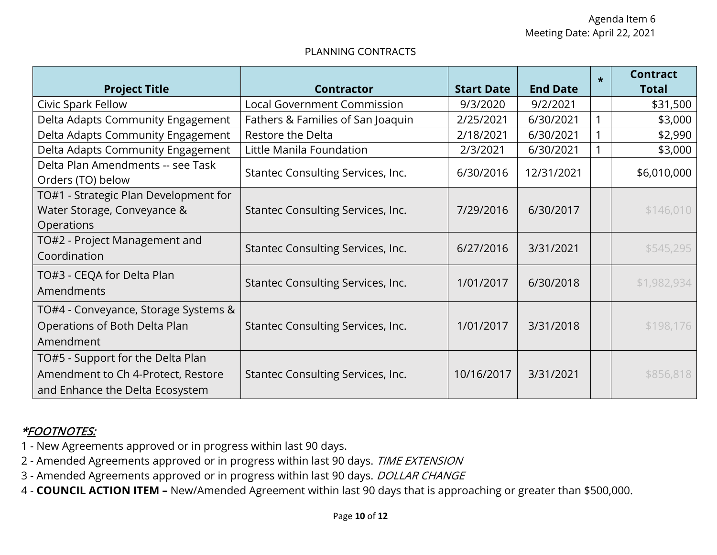#### PLANNING CONTRACTS

| <b>Project Title</b>                                                                                       | <b>Contractor</b>                  | <b>Start Date</b> | <b>End Date</b> | $\star$ | <b>Contract</b><br><b>Total</b> |
|------------------------------------------------------------------------------------------------------------|------------------------------------|-------------------|-----------------|---------|---------------------------------|
| Civic Spark Fellow                                                                                         | <b>Local Government Commission</b> | 9/3/2020          | 9/2/2021        |         | \$31,500                        |
| Delta Adapts Community Engagement                                                                          | Fathers & Families of San Joaquin  | 2/25/2021         | 6/30/2021       |         | \$3,000                         |
| Delta Adapts Community Engagement                                                                          | Restore the Delta                  | 2/18/2021         | 6/30/2021       |         | \$2,990                         |
| Delta Adapts Community Engagement                                                                          | Little Manila Foundation           | 2/3/2021          | 6/30/2021       |         | \$3,000                         |
| Delta Plan Amendments -- see Task<br>Orders (TO) below                                                     | Stantec Consulting Services, Inc.  | 6/30/2016         | 12/31/2021      |         | \$6,010,000                     |
| TO#1 - Strategic Plan Development for<br>Water Storage, Conveyance &<br>Operations                         | Stantec Consulting Services, Inc.  | 7/29/2016         | 6/30/2017       |         | \$146,010                       |
| TO#2 - Project Management and<br>Coordination                                                              | Stantec Consulting Services, Inc.  | 6/27/2016         | 3/31/2021       |         | \$545,295                       |
| TO#3 - CEQA for Delta Plan<br>Amendments                                                                   | Stantec Consulting Services, Inc.  | 1/01/2017         | 6/30/2018       |         | \$1,982,934                     |
| TO#4 - Conveyance, Storage Systems &<br>Operations of Both Delta Plan<br>Amendment                         | Stantec Consulting Services, Inc.  | 1/01/2017         | 3/31/2018       |         | \$198,176                       |
| TO#5 - Support for the Delta Plan<br>Amendment to Ch 4-Protect, Restore<br>and Enhance the Delta Ecosystem | Stantec Consulting Services, Inc.  | 10/16/2017        | 3/31/2021       |         | \$856,818                       |

- 1 New Agreements approved or in progress within last 90 days.
- 2 Amended Agreements approved or in progress within last 90 days. TIME EXTENSION
- 3 Amended Agreements approved or in progress within last 90 days. DOLLAR CHANGE
- 4 **COUNCIL ACTION ITEM –** New/Amended Agreement within last 90 days that is approaching or greater than \$500,000.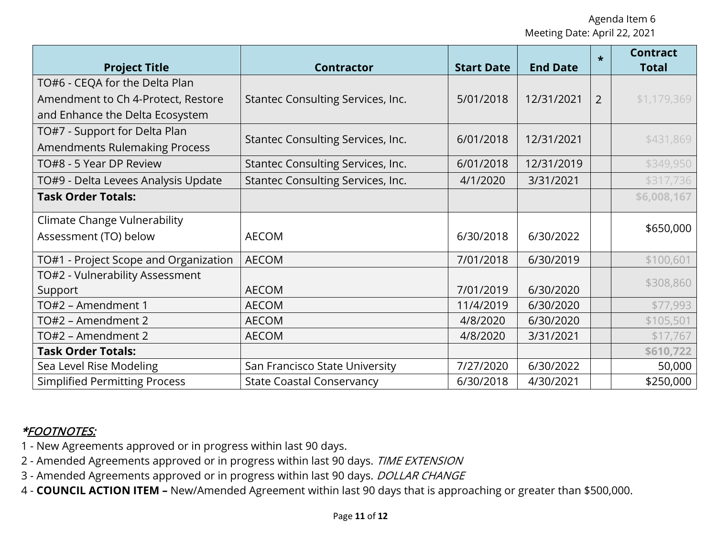| <b>Project Title</b>                  | <b>Contractor</b>                 | <b>Start Date</b> | <b>End Date</b> | $\star$        | <b>Contract</b><br><b>Total</b> |
|---------------------------------------|-----------------------------------|-------------------|-----------------|----------------|---------------------------------|
| TO#6 - CEQA for the Delta Plan        |                                   |                   |                 |                |                                 |
| Amendment to Ch 4-Protect, Restore    | Stantec Consulting Services, Inc. | 5/01/2018         | 12/31/2021      | $\overline{2}$ | \$1,179,369                     |
| and Enhance the Delta Ecosystem       |                                   |                   |                 |                |                                 |
| TO#7 - Support for Delta Plan         |                                   |                   |                 |                |                                 |
| <b>Amendments Rulemaking Process</b>  | Stantec Consulting Services, Inc. | 6/01/2018         | 12/31/2021      |                | \$431,869                       |
| TO#8 - 5 Year DP Review               | Stantec Consulting Services, Inc. | 6/01/2018         | 12/31/2019      |                | \$349,950                       |
| TO#9 - Delta Levees Analysis Update   | Stantec Consulting Services, Inc. | 4/1/2020          | 3/31/2021       |                | \$317,736                       |
| <b>Task Order Totals:</b>             |                                   |                   |                 |                | \$6,008,167                     |
| <b>Climate Change Vulnerability</b>   |                                   |                   |                 |                |                                 |
| Assessment (TO) below                 | <b>AECOM</b>                      | 6/30/2018         | 6/30/2022       |                | \$650,000                       |
| TO#1 - Project Scope and Organization | <b>AECOM</b>                      | 7/01/2018         | 6/30/2019       |                | \$100,601                       |
| TO#2 - Vulnerability Assessment       |                                   |                   |                 |                |                                 |
| Support                               | <b>AECOM</b>                      | 7/01/2019         | 6/30/2020       |                | \$308,860                       |
| TO#2 - Amendment 1                    | <b>AECOM</b>                      | 11/4/2019         | 6/30/2020       |                | \$77,993                        |
| TO#2 – Amendment 2                    | <b>AECOM</b>                      | 4/8/2020          | 6/30/2020       |                | \$105,501                       |
| TO#2 - Amendment 2                    | <b>AECOM</b>                      | 4/8/2020          | 3/31/2021       |                | \$17,767                        |
| <b>Task Order Totals:</b>             |                                   |                   |                 |                | \$610,722                       |
| Sea Level Rise Modeling               | San Francisco State University    | 7/27/2020         | 6/30/2022       |                | 50,000                          |
| <b>Simplified Permitting Process</b>  | <b>State Coastal Conservancy</b>  | 6/30/2018         | 4/30/2021       |                | \$250,000                       |

- 1 New Agreements approved or in progress within last 90 days.
- 2 Amended Agreements approved or in progress within last 90 days. TIME EXTENSION
- 3 Amended Agreements approved or in progress within last 90 days. DOLLAR CHANGE
- 4 **COUNCIL ACTION ITEM –** New/Amended Agreement within last 90 days that is approaching or greater than \$500,000.